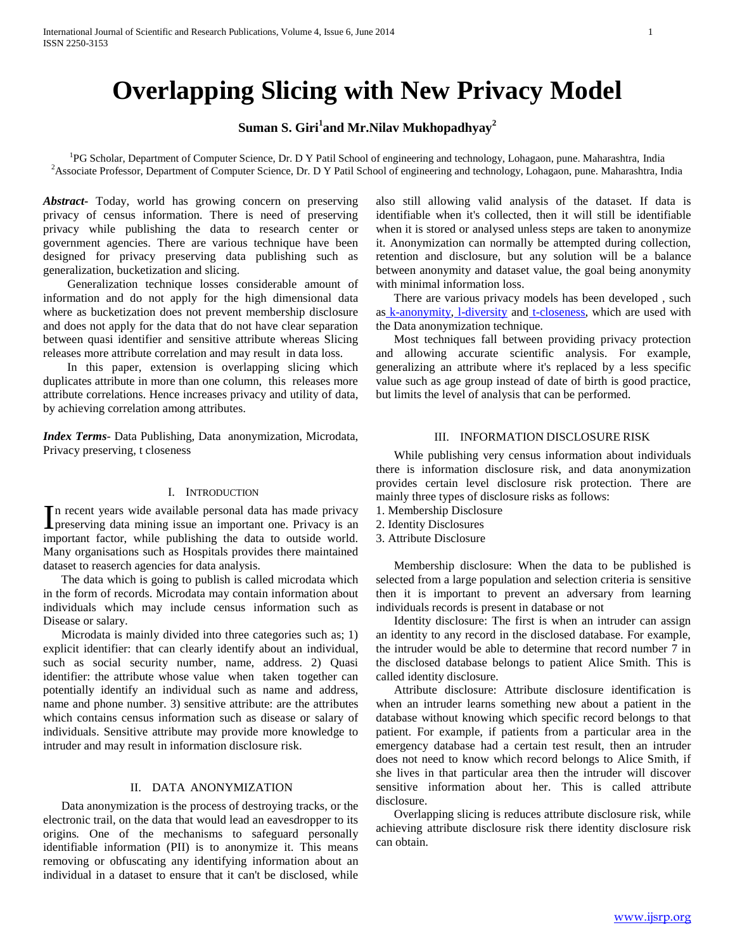# **Overlapping Slicing with New Privacy Model**

# **Suman S. Giri<sup>1</sup> and Mr.Nilav Mukhopadhyay<sup>2</sup>**

<sup>1</sup>PG Scholar, Department of Computer Science, Dr. D Y Patil School of engineering and technology, Lohagaon, pune. Maharashtra, India <sup>2</sup>Associate Professor, Department of Computer Science, Dr. D Y Patil School of engineering and technology, Lohagaon, pune. Maharashtra, India

*Abstract***-** Today, world has growing concern on preserving privacy of census information. There is need of preserving privacy while publishing the data to research center or government agencies. There are various technique have been designed for privacy preserving data publishing such as generalization, bucketization and slicing.

 Generalization technique losses considerable amount of information and do not apply for the high dimensional data where as bucketization does not prevent membership disclosure and does not apply for the data that do not have clear separation between quasi identifier and sensitive attribute whereas Slicing releases more attribute correlation and may result in data loss.

 In this paper, extension is overlapping slicing which duplicates attribute in more than one column, this releases more attribute correlations. Hence increases privacy and utility of data, by achieving correlation among attributes.

*Index Terms*- Data Publishing, Data anonymization, Microdata, Privacy preserving, t closeness

#### I. INTRODUCTION

n recent years wide available personal data has made privacy In recent years wide available personal data has made privacy is an important one. Privacy is an important factor, while publishing the data to outside world. Many organisations such as Hospitals provides there maintained dataset to reaserch agencies for data analysis.

 The data which is going to publish is called microdata which in the form of records. Microdata may contain information about individuals which may include census information such as Disease or salary.

 Microdata is mainly divided into three categories such as; 1) explicit identifier: that can clearly identify about an individual, such as social security number, name, address. 2) Quasi identifier: the attribute whose value when taken together can potentially identify an individual such as name and address, name and phone number. 3) sensitive attribute: are the attributes which contains census information such as disease or salary of individuals. Sensitive attribute may provide more knowledge to intruder and may result in information disclosure risk.

## II. DATA ANONYMIZATION

 Data anonymization is the process of destroying tracks, or the electronic trail, on the data that would lead an eavesdropper to its origins*.* One of the mechanisms to safeguard personally identifiable information (PII) is to anonymize it. This means removing or obfuscating any identifying information about an individual in a dataset to ensure that it can't be disclosed, while

also still allowing valid analysis of the dataset. If data is identifiable when it's collected, then it will still be identifiable when it is stored or analysed unless steps are taken to anonymize it. Anonymization can normally be attempted during collection, retention and disclosure, but any solution will be a balance between anonymity and dataset value, the goal being anonymity with minimal information loss.

 There are various privacy models has been developed , such as [k-anonymity,](http://privacy.cs.cmu.edu/people/sweeney/kanonymity.html) 1-diversity and [t-closeness,](http://www.cs.purdue.edu/homes/ninghui/papers/t_closeness_icde07.pdf) which are used with the Data anonymization technique.

 Most techniques fall between providing privacy protection and allowing accurate scientific analysis. For example, generalizing an attribute where it's replaced by a less specific value such as age group instead of date of birth is good practice, but limits the level of analysis that can be performed.

#### III. INFORMATION DISCLOSURE RISK

 While publishing very census information about individuals there is information disclosure risk, and data anonymization provides certain level disclosure risk protection. There are mainly three types of disclosure risks as follows:

- 1. Membership Disclosure
- 2. Identity Disclosures
- 3. Attribute Disclosure

 Membership disclosure: When the data to be published is selected from a large population and selection criteria is sensitive then it is important to prevent an adversary from learning individuals records is present in database or not

 Identity disclosure: The first is when an intruder can assign an identity to any record in the disclosed database. For example, the intruder would be able to determine that record number 7 in the disclosed database belongs to patient Alice Smith. This is called identity disclosure.

 Attribute disclosure: Attribute disclosure identification is when an intruder learns something new about a patient in the database without knowing which specific record belongs to that patient. For example, if patients from a particular area in the emergency database had a certain test result, then an intruder does not need to know which record belongs to Alice Smith, if she lives in that particular area then the intruder will discover sensitive information about her. This is called attribute disclosure.

 Overlapping slicing is reduces attribute disclosure risk, while achieving attribute disclosure risk there identity disclosure risk can obtain.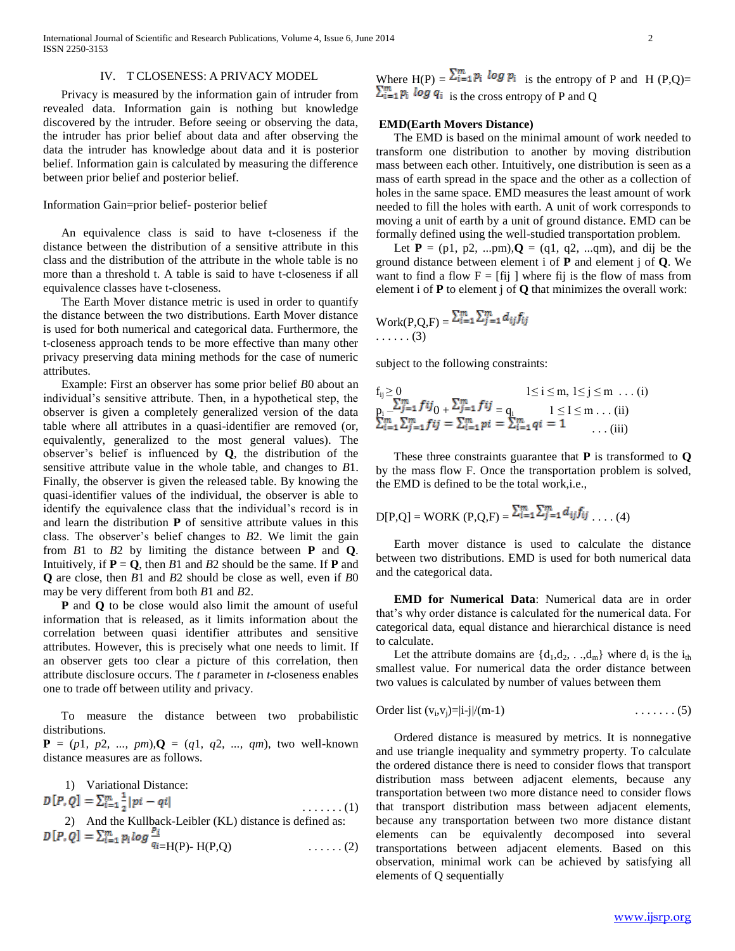International Journal of Scientific and Research Publications, Volume 4, Issue 6, June 2014 2 ISSN 2250-3153

#### IV. T CLOSENESS: A PRIVACY MODEL

 Privacy is measured by the information gain of intruder from revealed data. Information gain is nothing but knowledge discovered by the intruder. Before seeing or observing the data, the intruder has prior belief about data and after observing the data the intruder has knowledge about data and it is posterior belief. Information gain is calculated by measuring the difference between prior belief and posterior belief.

#### Information Gain=prior belief- posterior belief

 An equivalence class is said to have t-closeness if the distance between the distribution of a sensitive attribute in this class and the distribution of the attribute in the whole table is no more than a threshold t. A table is said to have t-closeness if all equivalence classes have t-closeness.

 The Earth Mover distance metric is used in order to quantify the distance between the two distributions. Earth Mover distance is used for both numerical and categorical data. Furthermore, the t-closeness approach tends to be more effective than many other privacy preserving data mining methods for the case of numeric attributes.

 Example: First an observer has some prior belief *B*0 about an individual's sensitive attribute. Then, in a hypothetical step, the observer is given a completely generalized version of the data table where all attributes in a quasi-identifier are removed (or, equivalently, generalized to the most general values). The observer's belief is influenced by **Q**, the distribution of the sensitive attribute value in the whole table, and changes to *B*1. Finally, the observer is given the released table. By knowing the quasi-identifier values of the individual, the observer is able to identify the equivalence class that the individual's record is in and learn the distribution **P** of sensitive attribute values in this class. The observer's belief changes to *B*2. We limit the gain from *B*1 to *B*2 by limiting the distance between **P** and **Q**. Intuitively, if  $P = Q$ , then *B*1 and *B*2 should be the same. If **P** and **Q** are close, then *B*1 and *B*2 should be close as well, even if *B*0 may be very different from both *B*1 and *B*2.

 **P** and **Q** to be close would also limit the amount of useful information that is released, as it limits information about the correlation between quasi identifier attributes and sensitive attributes. However, this is precisely what one needs to limit. If an observer gets too clear a picture of this correlation, then attribute disclosure occurs. The *t* parameter in *t*-closeness enables one to trade off between utility and privacy.

 To measure the distance between two probabilistic distributions.

 $P = (p1, p2, ..., pm)$ ,  $Q = (q1, q2, ..., am)$ , two well-known distance measures are as follows.

1) Variational Distance:<br> $D[P,Q] = \sum_{i=1}^{m} \frac{1}{2} |pi - qi|$ . . . . . . . (1) 2) And the Kullback-Leibler (KL) distance is defined as:  $=H(P) - H(P,Q)$  . . . . . . . (2)

Where  $H(P) = \sum_{i=1}^{m} p_i log p_i$  is the entropy of P and H (P,Q)=  $\sum_{i=1}^{m} p_i$  log  $q_i$  is the cross entropy of P and Q

#### **EMD(Earth Movers Distance)**

 The EMD is based on the minimal amount of work needed to transform one distribution to another by moving distribution mass between each other. Intuitively, one distribution is seen as a mass of earth spread in the space and the other as a collection of holes in the same space. EMD measures the least amount of work needed to fill the holes with earth. A unit of work corresponds to moving a unit of earth by a unit of ground distance. EMD can be formally defined using the well-studied transportation problem.

Let  $P = (p1, p2, ...pm), Q = (q1, q2, ...dm)$ , and dij be the ground distance between element i of **P** and element j of **Q**. We want to find a flow  $F = [fij]$  where fij is the flow of mass from element i of **P** to element j of **Q** that minimizes the overall work:

$$
\text{Work}(P,Q,F) = \sum_{i=1}^{m} \sum_{j=1}^{m} d_{ij} f_{ij}
$$
  
.... (3)

subject to the following constraints:

$$
f_{ij} \ge 0 \n= \sum_{j=1}^{m} f{ij} \n= \sum_{j=1}^{m} f{ij} \n= q_i \n= \sum_{i=1}^{m} j \n= \sum_{i=1}^{m} p_i \n= \sum_{i=1}^{m} q_i \n= 1 \n= 1 \n= (iii)
$$

 These three constraints guarantee that **P** is transformed to **Q**  by the mass flow F. Once the transportation problem is solved, the EMD is defined to be the total work,i.e.,

$$
D[P,Q] = WORK (P,Q,F) = \frac{\sum_{i=1}^{m} \sum_{j=1}^{m} d_{ij} f_{ij} \dots (4)}{P(Q, P,Q)}
$$

 Earth mover distance is used to calculate the distance between two distributions. EMD is used for both numerical data and the categorical data.

 **EMD for Numerical Data**: Numerical data are in order that's why order distance is calculated for the numerical data. For categorical data, equal distance and hierarchical distance is need to calculate.

Let the attribute domains are  $\{d_1, d_2, \ldots, d_m\}$  where  $d_i$  is the  $i_{th}$ smallest value. For numerical data the order distance between two values is calculated by number of values between them

Order list 
$$
(v_i, v_j) = |i-j|/(m-1)
$$
  $\dots \dots \dots (5)$ 

 Ordered distance is measured by metrics. It is nonnegative and use triangle inequality and symmetry property. To calculate the ordered distance there is need to consider flows that transport distribution mass between adjacent elements, because any transportation between two more distance need to consider flows that transport distribution mass between adjacent elements, because any transportation between two more distance distant elements can be equivalently decomposed into several transportations between adjacent elements. Based on this observation, minimal work can be achieved by satisfying all elements of Q sequentially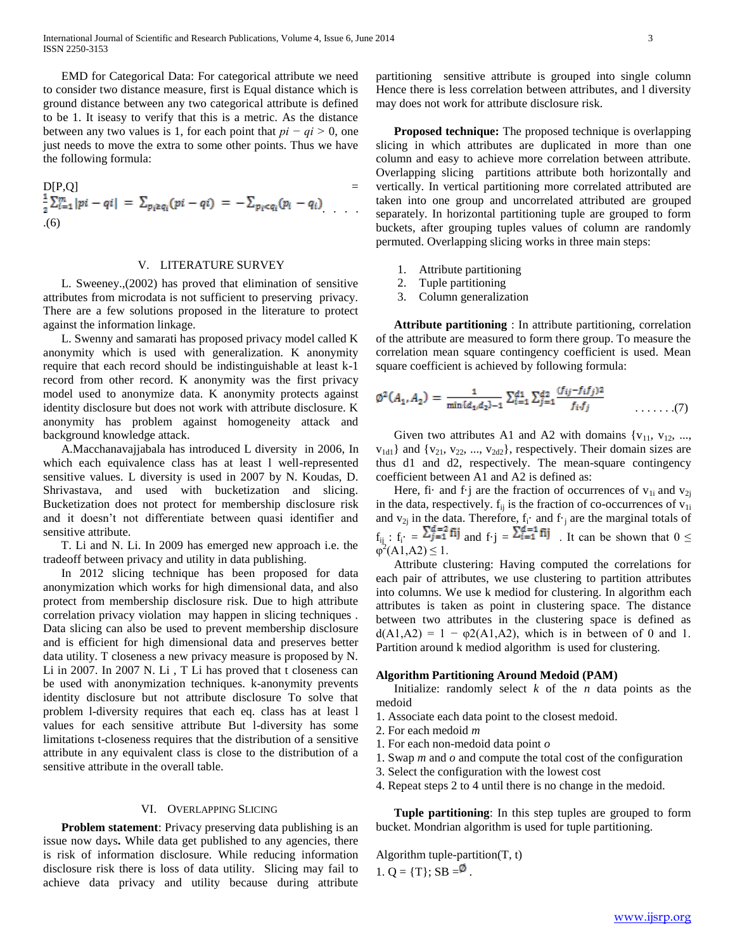EMD for Categorical Data: For categorical attribute we need to consider two distance measure, first is Equal distance which is ground distance between any two categorical attribute is defined to be 1. It iseasy to verify that this is a metric. As the distance between any two values is 1, for each point that *pi − qi >* 0, one just needs to move the extra to some other points. Thus we have the following formula:

$$
D[P,Q] = \frac{1}{2} \sum_{i=1}^{m} |pi - qi| = \sum_{p_i \ge q_i} (pi - qi) = -\sum_{p_i < q_i} (p_i - q_i)
$$
\n(6)

#### V. LITERATURE SURVEY

 L. Sweeney.,(2002) has proved that elimination of sensitive attributes from microdata is not sufficient to preserving privacy. There are a few solutions proposed in the literature to protect against the information linkage.

 L. Swenny and samarati has proposed privacy model called K anonymity which is used with generalization. K anonymity require that each record should be indistinguishable at least k-1 record from other record. K anonymity was the first privacy model used to anonymize data. K anonymity protects against identity disclosure but does not work with attribute disclosure. K anonymity has problem against homogeneity attack and background knowledge attack.

 A.Macchanavajjabala has introduced L diversity in 2006, In which each equivalence class has at least l well-represented sensitive values. L diversity is used in 2007 by N. Koudas, D. Shrivastava, and used with bucketization and slicing. Bucketization does not protect for membership disclosure risk and it doesn't not differentiate between quasi identifier and sensitive attribute.

 T. Li and N. Li. In 2009 has emerged new approach i.e. the tradeoff between privacy and utility in data publishing.

 In 2012 slicing technique has been proposed for data anonymization which works for high dimensional data, and also protect from membership disclosure risk. Due to high attribute correlation privacy violation may happen in slicing techniques . Data slicing can also be used to prevent membership disclosure and is efficient for high dimensional data and preserves better data utility. T closeness a new privacy measure is proposed by N. Li in 2007. In 2007 N. Li , T Li has proved that t closeness can be used with anonymization techniques. k-anonymity prevents identity disclosure but not attribute disclosure To solve that problem l-diversity requires that each eq. class has at least l values for each sensitive attribute But l-diversity has some limitations t-closeness requires that the distribution of a sensitive attribute in any equivalent class is close to the distribution of a sensitive attribute in the overall table.

#### VI. OVERLAPPING SLICING

**Problem statement:** Privacy preserving data publishing is an issue now days**.** While data get published to any agencies, there is risk of information disclosure. While reducing information disclosure risk there is loss of data utility. Slicing may fail to achieve data privacy and utility because during attribute

partitioning sensitive attribute is grouped into single column Hence there is less correlation between attributes, and l diversity may does not work for attribute disclosure risk.

 **Proposed technique:** The proposed technique is overlapping slicing in which attributes are duplicated in more than one column and easy to achieve more correlation between attribute. Overlapping slicing partitions attribute both horizontally and vertically. In vertical partitioning more correlated attributed are taken into one group and uncorrelated attributed are grouped separately. In horizontal partitioning tuple are grouped to form buckets, after grouping tuples values of column are randomly permuted. Overlapping slicing works in three main steps:

- 1. Attribute partitioning
- 2. Tuple partitioning
- 3. Column generalization

 **Attribute partitioning** : In attribute partitioning, correlation of the attribute are measured to form there group. To measure the correlation mean square contingency coefficient is used. Mean square coefficient is achieved by following formula:

$$
\emptyset^2(A_1, A_2) = \frac{1}{\min\{d_1, d_2\}-1} \sum_{i=1}^{d_1} \sum_{j=1}^{d_2} \frac{(f_{ij} - f_i f_j)^2}{f_i \cdot f_j} \tag{7}
$$

Given two attributes A1 and A2 with domains  $\{v_{11}, v_{12}, ...,$  $v_{1d1}$ } and { $v_{21}$ ,  $v_{22}$ , ...,  $v_{2d2}$ }, respectively. Their domain sizes are thus d1 and d2, respectively. The mean-square contingency coefficient between A1 and A2 is defined as:

Here, fi· and f·j are the fraction of occurrences of  $v_{1i}$  and  $v_{2i}$ in the data, respectively.  $f_{ii}$  is the fraction of co-occurrences of  $v_{1i}$ and  $v_{2j}$  in the data. Therefore,  $f_i$  and  $f_j$  are the marginal totals of  $f_{ij}$ :  $f_i = \frac{\sum_{i=1}^{n} n_i}{n}$  and  $f \cdot j = \frac{\sum_{i=1}^{n} n_i}{n}$ . It can be shown that  $0 \leq$  $\varphi^2(A1,A2) \leq 1$ .

 Attribute clustering: Having computed the correlations for each pair of attributes, we use clustering to partition attributes into columns. We use k mediod for clustering. In algorithm each attributes is taken as point in clustering space. The distance between two attributes in the clustering space is defined as  $d(A1, A2) = 1 - \varphi 2(A1, A2)$ , which is in between of 0 and 1. Partition around k mediod algorithm is used for clustering.

#### **Algorithm Partitioning Around Medoid (PAM)**

 Initialize: randomly select *k* of the *n* data points as the medoid

- 1. Associate each data point to the closest medoid.
- 2. For each medoid *m*
- 1. For each non-medoid data point *o*
- 1. Swap *m* and *o* and compute the total cost of the configuration
- 3. Select the configuration with the lowest cost
- 4. Repeat steps 2 to 4 until there is no change in the medoid.

 **Tuple partitioning**: In this step tuples are grouped to form bucket. Mondrian algorithm is used for tuple partitioning.

Algorithm tuple-partition $(T, t)$ 1.  $Q = \{T\}$ ; SB  $= \infty$ .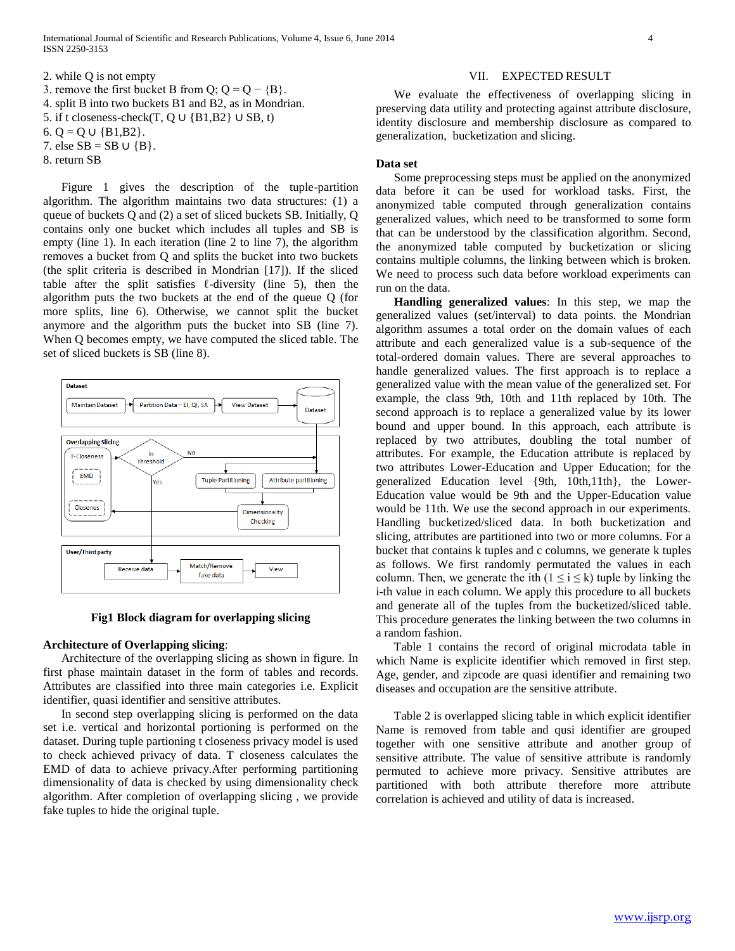International Journal of Scientific and Research Publications, Volume 4, Issue 6, June 2014 4 ISSN 2250-3153

2. while Q is not empty 3. remove the first bucket B from Q;  $Q = Q - {B}$ . 4. split B into two buckets B1 and B2, as in Mondrian. 5. if t closeness-check(T,  $Q \cup \{B1,B2\} \cup SB, t$ ) 6. Q = Q ∪ {B1,B2}. 7. else  $SB = SB \cup \{B\}$ . 8. return SB

 Figure 1 gives the description of the tuple-partition algorithm. The algorithm maintains two data structures: (1) a queue of buckets Q and (2) a set of sliced buckets SB. Initially, Q contains only one bucket which includes all tuples and SB is empty (line 1). In each iteration (line 2 to line 7), the algorithm removes a bucket from Q and splits the bucket into two buckets (the split criteria is described in Mondrian [17]). If the sliced table after the split satisfies  $\ell$ -diversity (line 5), then the algorithm puts the two buckets at the end of the queue Q (for more splits, line 6). Otherwise, we cannot split the bucket anymore and the algorithm puts the bucket into SB (line 7). When Q becomes empty, we have computed the sliced table. The set of sliced buckets is SB (line 8).



#### **Fig1 Block diagram for overlapping slicing**

#### **Architecture of Overlapping slicing**:

 Architecture of the overlapping slicing as shown in figure. In first phase maintain dataset in the form of tables and records. Attributes are classified into three main categories i.e. Explicit identifier, quasi identifier and sensitive attributes.

 In second step overlapping slicing is performed on the data set i.e. vertical and horizontal portioning is performed on the dataset. During tuple partioning t closeness privacy model is used to check achieved privacy of data. T closeness calculates the EMD of data to achieve privacy.After performing partitioning dimensionality of data is checked by using dimensionality check algorithm. After completion of overlapping slicing , we provide fake tuples to hide the original tuple.

#### VII. EXPECTED RESULT

 We evaluate the effectiveness of overlapping slicing in preserving data utility and protecting against attribute disclosure, identity disclosure and membership disclosure as compared to generalization, bucketization and slicing.

#### **Data set**

 Some preprocessing steps must be applied on the anonymized data before it can be used for workload tasks. First, the anonymized table computed through generalization contains generalized values, which need to be transformed to some form that can be understood by the classification algorithm. Second, the anonymized table computed by bucketization or slicing contains multiple columns, the linking between which is broken. We need to process such data before workload experiments can run on the data.

 **Handling generalized values**: In this step, we map the generalized values (set/interval) to data points. the Mondrian algorithm assumes a total order on the domain values of each attribute and each generalized value is a sub-sequence of the total-ordered domain values. There are several approaches to handle generalized values. The first approach is to replace a generalized value with the mean value of the generalized set. For example, the class 9th, 10th and 11th replaced by 10th. The second approach is to replace a generalized value by its lower bound and upper bound. In this approach, each attribute is replaced by two attributes, doubling the total number of attributes. For example, the Education attribute is replaced by two attributes Lower-Education and Upper Education; for the generalized Education level {9th, 10th,11th}, the Lower-Education value would be 9th and the Upper-Education value would be 11th. We use the second approach in our experiments. Handling bucketized/sliced data. In both bucketization and slicing, attributes are partitioned into two or more columns. For a bucket that contains k tuples and c columns, we generate k tuples as follows. We first randomly permutated the values in each column. Then, we generate the ith  $(1 \le i \le k)$  tuple by linking the i-th value in each column. We apply this procedure to all buckets and generate all of the tuples from the bucketized/sliced table. This procedure generates the linking between the two columns in a random fashion.

 Table 1 contains the record of original microdata table in which Name is explicite identifier which removed in first step. Age, gender, and zipcode are quasi identifier and remaining two diseases and occupation are the sensitive attribute.

 Table 2 is overlapped slicing table in which explicit identifier Name is removed from table and qusi identifier are grouped together with one sensitive attribute and another group of sensitive attribute. The value of sensitive attribute is randomly permuted to achieve more privacy. Sensitive attributes are partitioned with both attribute therefore more attribute correlation is achieved and utility of data is increased.